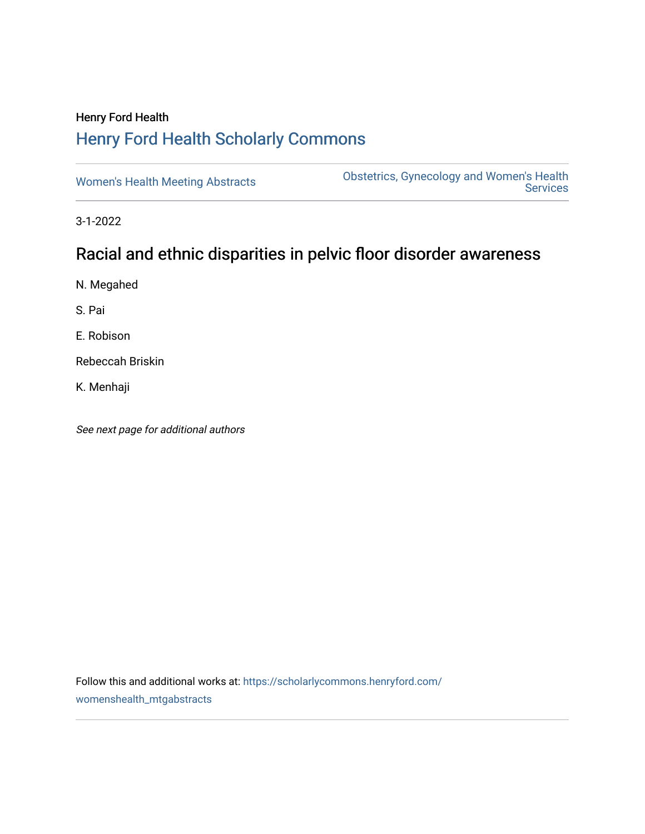# Henry Ford Health [Henry Ford Health Scholarly Commons](https://scholarlycommons.henryford.com/)

[Women's Health Meeting Abstracts](https://scholarlycommons.henryford.com/womenshealth_mtgabstracts) **Obstetrics, Gynecology and Women's Health**<br>Services **Services** 

3-1-2022

# Racial and ethnic disparities in pelvic floor disorder awareness

N. Megahed

S. Pai

E. Robison

Rebeccah Briskin

K. Menhaji

See next page for additional authors

Follow this and additional works at: [https://scholarlycommons.henryford.com/](https://scholarlycommons.henryford.com/womenshealth_mtgabstracts?utm_source=scholarlycommons.henryford.com%2Fwomenshealth_mtgabstracts%2F70&utm_medium=PDF&utm_campaign=PDFCoverPages) [womenshealth\\_mtgabstracts](https://scholarlycommons.henryford.com/womenshealth_mtgabstracts?utm_source=scholarlycommons.henryford.com%2Fwomenshealth_mtgabstracts%2F70&utm_medium=PDF&utm_campaign=PDFCoverPages)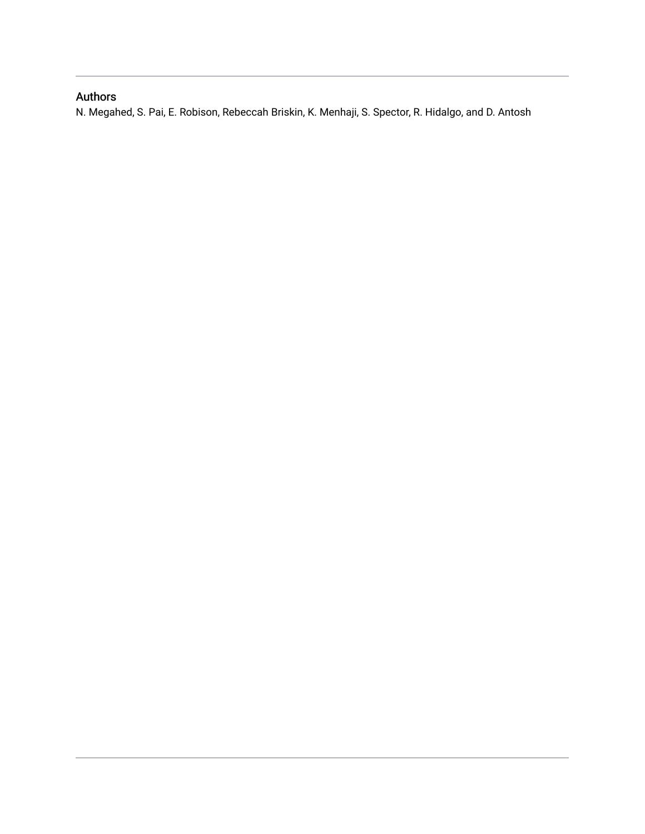## Authors

N. Megahed, S. Pai, E. Robison, Rebeccah Briskin, K. Menhaji, S. Spector, R. Hidalgo, and D. Antosh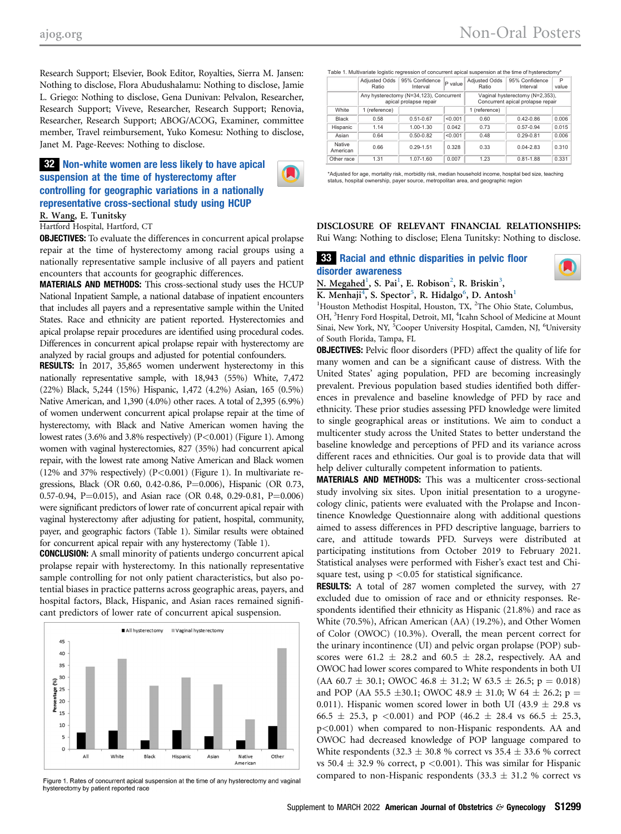Research Support; Elsevier, Book Editor, Royalties, Sierra M. Jansen: Nothing to disclose, Flora Abudushalamu: Nothing to disclose, Jamie L. Griego: Nothing to disclose, Gena Dunivan: Pelvalon, Researcher, Research Support; Viveve, Researcher, Research Support; Renovia, Researcher, Research Support; ABOG/ACOG, Examiner, committee member, Travel reimbursement, Yuko Komesu: Nothing to disclose, Janet M. Page-Reeves: Nothing to disclose.

### 32 Non-white women are less likely to have apical suspension at the time of hysterectomy after controlling for geographic variations in a nationally representative cross-sectional study using HCUP

R. Wang, E. Tunitsky

Hartford Hospital, Hartford, CT

**OBJECTIVES:** To evaluate the differences in concurrent apical prolapse repair at the time of hysterectomy among racial groups using a nationally representative sample inclusive of all payers and patient encounters that accounts for geographic differences.

MATERIALS AND METHODS: This cross-sectional study uses the HCUP National Inpatient Sample, a national database of inpatient encounters that includes all payers and a representative sample within the United States. Race and ethnicity are patient reported. Hysterectomies and apical prolapse repair procedures are identified using procedural codes. Differences in concurrent apical prolapse repair with hysterectomy are analyzed by racial groups and adjusted for potential confounders.

RESULTS: In 2017, 35,865 women underwent hysterectomy in this nationally representative sample, with 18,943 (55%) White, 7,472 (22%) Black, 5,244 (15%) Hispanic, 1,472 (4.2%) Asian, 165 (0.5%) Native American, and 1,390 (4.0%) other races. A total of 2,395 (6.9%) of women underwent concurrent apical prolapse repair at the time of hysterectomy, with Black and Native American women having the lowest rates (3.6% and 3.8% respectively) (P<0.001) (Figure 1). Among women with vaginal hysterectomies, 827 (35%) had concurrent apical repair, with the lowest rate among Native American and Black women (12% and 37% respectively)  $(P<0.001)$  (Figure 1). In multivariate regressions, Black (OR 0.60, 0.42-0.86, P=0.006), Hispanic (OR 0.73, 0.57-0.94, P=0.015), and Asian race (OR 0.48, 0.29-0.81, P=0.006) were significant predictors of lower rate of concurrent apical repair with vaginal hysterectomy after adjusting for patient, hospital, community, payer, and geographic factors (Table 1). Similar results were obtained for concurrent apical repair with any hysterectomy (Table 1).

CONCLUSION: A small minority of patients undergo concurrent apical prolapse repair with hysterectomy. In this nationally representative sample controlling for not only patient characteristics, but also potential biases in practice patterns across geographic areas, payers, and hospital factors, Black, Hispanic, and Asian races remained significant predictors of lower rate of concurrent apical suspension.



Figure 1. Rates of concurrent apical suspension at the time of any hysterectomy and vaginal hysterectomy by patient reported race

| <b>Adiusted Odds</b><br>Ratio                                     | Interval      | P value                                                              | Ratio         | 95% Confidence<br>Interval             | P<br>value |
|-------------------------------------------------------------------|---------------|----------------------------------------------------------------------|---------------|----------------------------------------|------------|
| Any hysterectomy (N=34,123), Concurrent<br>apical prolapse repair |               | Vaginal hysterectomy (N=2,353),<br>Concurrent apical prolapse repair |               |                                        |            |
| 1 (reference)                                                     |               |                                                                      | 1 (reference) |                                        |            |
| 0.58                                                              | $0.51 - 0.67$ | < 0.001                                                              | 0.60          | $0.42 - 0.86$                          | 0.006      |
| 1.14                                                              | 1.00-1.30     | 0.042                                                                | 0.73          | $0.57 - 0.94$                          | 0.015      |
| 0.64                                                              | $0.50 - 0.82$ | < 0.001                                                              | 0.48          | $0.29 - 0.81$                          | 0.006      |
| 0.66                                                              | $0.29 - 1.51$ | 0.328                                                                | 0.33          | $0.04 - 2.83$                          | 0.310      |
| 1.31                                                              | 1.07-1.60     | 0.007                                                                | 1.23          | $0.81 - 1.88$                          | 0.331      |
|                                                                   |               |                                                                      |               | 95% Confidence<br><b>Adiusted Odds</b> |            |

Table 1. Multivariate logistic regression of concurrent apical suspension at the time of hysterectomy\*

\*Adjusted for age, mortality risk, morbidity risk, median household income, hospital bed size, teaching status, hospital ownership, payer source, metropolitan area, and geographic region

DISCLOSURE OF RELEVANT FINANCIAL RELATIONSHIPS: Rui Wang: Nothing to disclose; Elena Tunitsky: Nothing to disclose.

#### 33 Racial and ethnic disparities in pelvic floor disorder awareness



N. Megahed<sup>[1](#page-2-0)</sup>, S. Pai<sup>1</sup>, E. Robison<sup>[2](#page-2-0)</sup>, R. Briskin<sup>[3](#page-2-1)</sup>, K. Menhaji $^4$ , S. Spector $^5$  $^5$ , R. Hidalgo $^6$  $^6$ , D. Antosh $^1$  $^1$ 

<span id="page-2-2"></span><span id="page-2-1"></span><span id="page-2-0"></span><sup>1</sup>Houston Methodist Hospital, Houston, TX, <sup>2</sup>The Ohio State, Columbus, OH, <sup>3</sup>Henry Ford Hospital, Detroit, MI, <sup>4</sup>Icahn School of Medicine at Mount Sinai, New York, NY, <sup>5</sup>Cooper University Hospital, Camden, NJ, <sup>6</sup>University of South Florida, Tampa, FL

**OBJECTIVES:** Pelvic floor disorders (PFD) affect the quality of life for many women and can be a significant cause of distress. With the United States' aging population, PFD are becoming increasingly prevalent. Previous population based studies identified both differences in prevalence and baseline knowledge of PFD by race and ethnicity. These prior studies assessing PFD knowledge were limited to single geographical areas or institutions. We aim to conduct a multicenter study across the United States to better understand the baseline knowledge and perceptions of PFD and its variance across different races and ethnicities. Our goal is to provide data that will help deliver culturally competent information to patients.

MATERIALS AND METHODS: This was a multicenter cross-sectional study involving six sites. Upon initial presentation to a urogynecology clinic, patients were evaluated with the Prolapse and Incontinence Knowledge Questionnaire along with additional questions aimed to assess differences in PFD descriptive language, barriers to care, and attitude towards PFD. Surveys were distributed at participating institutions from October 2019 to February 2021. Statistical analyses were performed with Fisher's exact test and Chisquare test, using  $p < 0.05$  for statistical significance.

RESULTS: A total of 287 women completed the survey, with 27 excluded due to omission of race and or ethnicity responses. Respondents identified their ethnicity as Hispanic (21.8%) and race as White (70.5%), African American (AA) (19.2%), and Other Women of Color (OWOC) (10.3%). Overall, the mean percent correct for the urinary incontinence (UI) and pelvic organ prolapse (POP) subscores were  $61.2 \pm 28.2$  and  $60.5 \pm 28.2$ , respectively. AA and OWOC had lower scores compared to White respondents in both UI  $(AA 60.7 \pm 30.1;$  OWOC  $46.8 \pm 31.2;$  W  $63.5 \pm 26.5;$  p = 0.018) and POP (AA 55.5  $\pm 30.1$ ; OWOC 48.9  $\pm$  31.0; W 64  $\pm$  26.2; p = 0.011). Hispanic women scored lower in both UI  $(43.9 \pm 29.8 \text{ vs } 10^{-12})$  $66.5 \pm 25.3$ , p <0.001) and POP (46.2  $\pm$  28.4 vs 66.5  $\pm$  25.3, p<0.001) when compared to non-Hispanic respondents. AA and OWOC had decreased knowledge of POP language compared to White respondents (32.3  $\pm$  30.8 % correct vs 35.4  $\pm$  33.6 % correct vs 50.4  $\pm$  32.9 % correct, p <0.001). This was similar for Hispanic compared to non-Hispanic respondents  $(33.3 \pm 31.2 \%$  correct vs